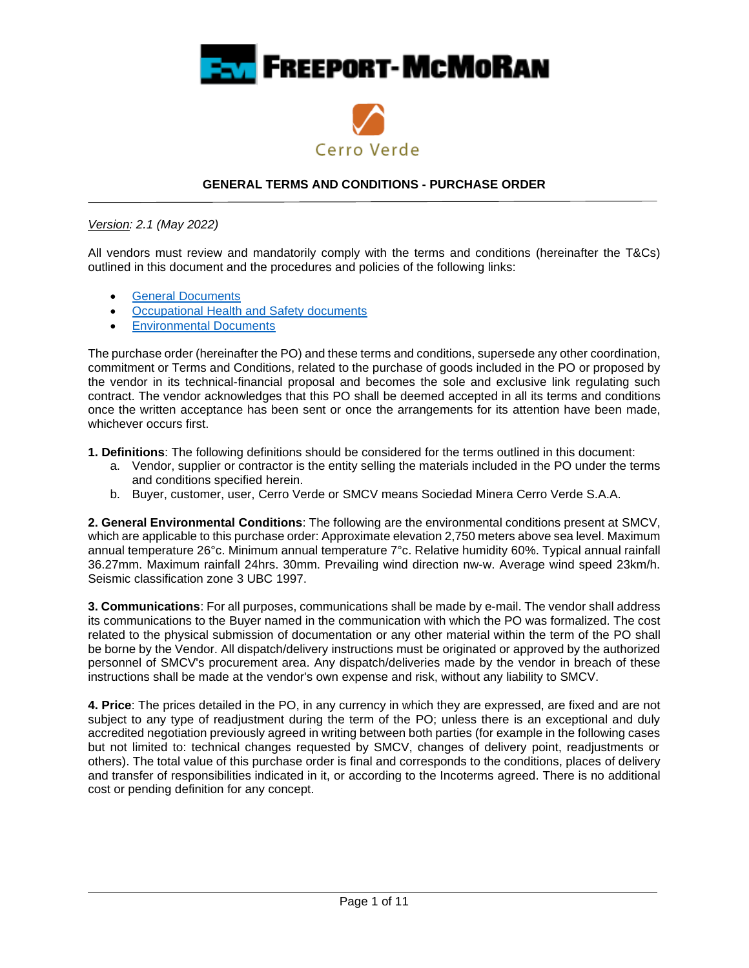



#### *Version: 2.1 (May 2022)*

All vendors must review and mandatorily comply with the terms and conditions (hereinafter the T&Cs) outlined in this document and the procedures and policies of the following links:

- [General Documents](https://publicportal.fmi.com/cerro_verde)
- [Occupational Health and Safety documents](https://publicportal.fmi.com/CerroVerdeStandards)
- [Environmental Documents](https://publicportal.fmi.com/cerro_verde)

The purchase order (hereinafter the PO) and these terms and conditions, supersede any other coordination, commitment or Terms and Conditions, related to the purchase of goods included in the PO or proposed by the vendor in its technical-financial proposal and becomes the sole and exclusive link regulating such contract. The vendor acknowledges that this PO shall be deemed accepted in all its terms and conditions once the written acceptance has been sent or once the arrangements for its attention have been made, whichever occurs first.

**1. Definitions**: The following definitions should be considered for the terms outlined in this document:

- a. Vendor, supplier or contractor is the entity selling the materials included in the PO under the terms and conditions specified herein.
- b. Buyer, customer, user, Cerro Verde or SMCV means Sociedad Minera Cerro Verde S.A.A.

**2. General Environmental Conditions**: The following are the environmental conditions present at SMCV, which are applicable to this purchase order: Approximate elevation 2,750 meters above sea level. Maximum annual temperature 26°c. Minimum annual temperature 7°c. Relative humidity 60%. Typical annual rainfall 36.27mm. Maximum rainfall 24hrs. 30mm. Prevailing wind direction nw-w. Average wind speed 23km/h. Seismic classification zone 3 UBC 1997.

**3. Communications**: For all purposes, communications shall be made by e-mail. The vendor shall address its communications to the Buyer named in the communication with which the PO was formalized. The cost related to the physical submission of documentation or any other material within the term of the PO shall be borne by the Vendor. All dispatch/delivery instructions must be originated or approved by the authorized personnel of SMCV's procurement area. Any dispatch/deliveries made by the vendor in breach of these instructions shall be made at the vendor's own expense and risk, without any liability to SMCV.

**4. Price**: The prices detailed in the PO, in any currency in which they are expressed, are fixed and are not subject to any type of readjustment during the term of the PO; unless there is an exceptional and duly accredited negotiation previously agreed in writing between both parties (for example in the following cases but not limited to: technical changes requested by SMCV, changes of delivery point, readjustments or others). The total value of this purchase order is final and corresponds to the conditions, places of delivery and transfer of responsibilities indicated in it, or according to the Incoterms agreed. There is no additional cost or pending definition for any concept.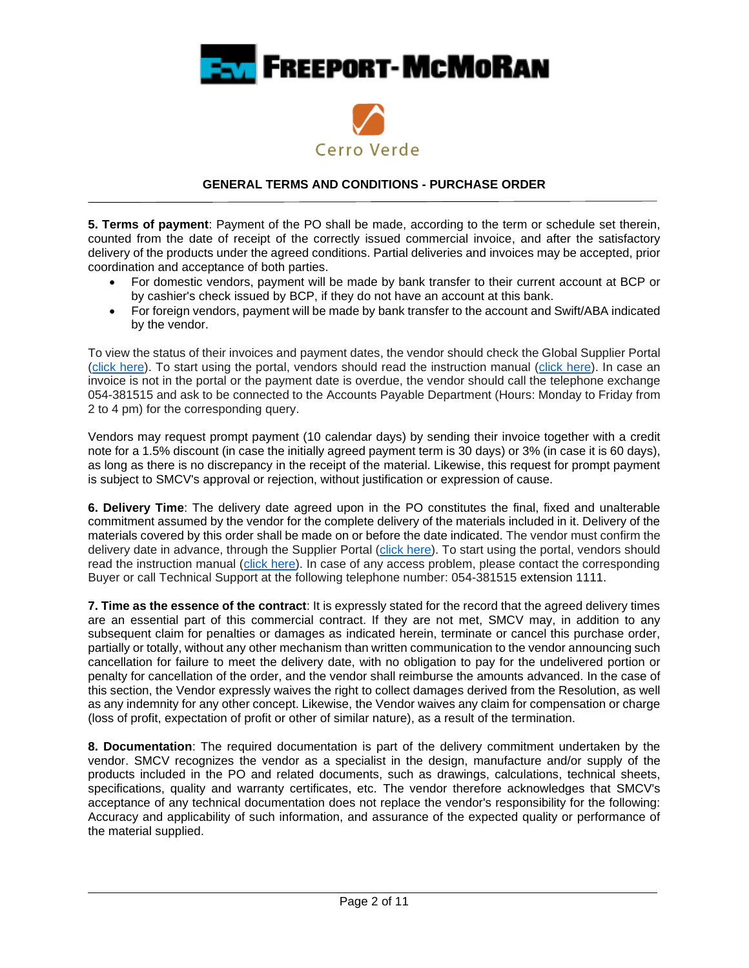



**5. Terms of payment**: Payment of the PO shall be made, according to the term or schedule set therein, counted from the date of receipt of the correctly issued commercial invoice, and after the satisfactory delivery of the products under the agreed conditions. Partial deliveries and invoices may be accepted, prior coordination and acceptance of both parties.

- For domestic vendors, payment will be made by bank transfer to their current account at BCP or by cashier's check issued by BCP, if they do not have an account at this bank.
- For foreign vendors, payment will be made by bank transfer to the account and Swift/ABA indicated by the vendor.

To view the status of their invoices and payment dates, the vendor should check the Global Supplier Portal (click [here\)](https://globalsupplierportal.apps.fmi.com/). To start using the portal, vendors should read the instruction manual (click [here\)](https://publicportal.fmi.com/sites/publicportal/files/Files/cerro_verde_files/gsc/compras/Instrucciones%20de%20registro%20y%20uso%20del%20portal%20de%20proveedores%20V1.0%20Mar2021.pdf). In case an invoice is not in the portal or the payment date is overdue, the vendor should call the telephone exchange 054-381515 and ask to be connected to the Accounts Payable Department (Hours: Monday to Friday from 2 to 4 pm) for the corresponding query.

Vendors may request prompt payment (10 calendar days) by sending their invoice together with a credit note for a 1.5% discount (in case the initially agreed payment term is 30 days) or 3% (in case it is 60 days), as long as there is no discrepancy in the receipt of the material. Likewise, this request for prompt payment is subject to SMCV's approval or rejection, without justification or expression of cause.

**6. Delivery Time**: The delivery date agreed upon in the PO constitutes the final, fixed and unalterable commitment assumed by the vendor for the complete delivery of the materials included in it. Delivery of the materials covered by this order shall be made on or before the date indicated. The vendor must confirm the delivery date in advance, through the Supplier Portal (click [here\)](https://globalsupplierportal.apps.fmi.com/). To start using the portal, vendors should read the instruction manual [\(click here\)](https://publicportal.fmi.com/sites/publicportal/files/Files/cerro_verde_files/gsc/compras/Instrucciones%20de%20registro%20y%20uso%20del%20portal%20de%20proveedores%20V1.0%20Mar2021.pdf). In case of any access problem, please contact the corresponding Buyer or call Technical Support at the following telephone number: 054-381515 extension 1111.

**7. Time as the essence of the contract**: It is expressly stated for the record that the agreed delivery times are an essential part of this commercial contract. If they are not met, SMCV may, in addition to any subsequent claim for penalties or damages as indicated herein, terminate or cancel this purchase order, partially or totally, without any other mechanism than written communication to the vendor announcing such cancellation for failure to meet the delivery date, with no obligation to pay for the undelivered portion or penalty for cancellation of the order, and the vendor shall reimburse the amounts advanced. In the case of this section, the Vendor expressly waives the right to collect damages derived from the Resolution, as well as any indemnity for any other concept. Likewise, the Vendor waives any claim for compensation or charge (loss of profit, expectation of profit or other of similar nature), as a result of the termination.

**8. Documentation**: The required documentation is part of the delivery commitment undertaken by the vendor. SMCV recognizes the vendor as a specialist in the design, manufacture and/or supply of the products included in the PO and related documents, such as drawings, calculations, technical sheets, specifications, quality and warranty certificates, etc. The vendor therefore acknowledges that SMCV's acceptance of any technical documentation does not replace the vendor's responsibility for the following: Accuracy and applicability of such information, and assurance of the expected quality or performance of the material supplied.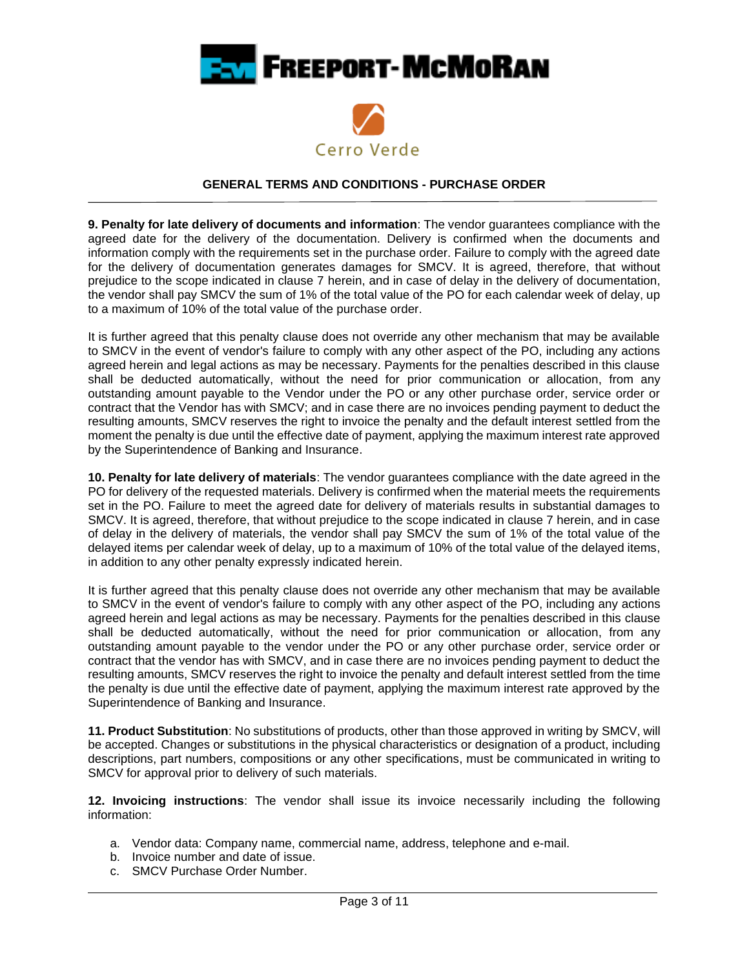



**9. Penalty for late delivery of documents and information**: The vendor guarantees compliance with the agreed date for the delivery of the documentation. Delivery is confirmed when the documents and information comply with the requirements set in the purchase order. Failure to comply with the agreed date for the delivery of documentation generates damages for SMCV. It is agreed, therefore, that without prejudice to the scope indicated in clause 7 herein, and in case of delay in the delivery of documentation, the vendor shall pay SMCV the sum of 1% of the total value of the PO for each calendar week of delay, up to a maximum of 10% of the total value of the purchase order.

It is further agreed that this penalty clause does not override any other mechanism that may be available to SMCV in the event of vendor's failure to comply with any other aspect of the PO, including any actions agreed herein and legal actions as may be necessary. Payments for the penalties described in this clause shall be deducted automatically, without the need for prior communication or allocation, from any outstanding amount payable to the Vendor under the PO or any other purchase order, service order or contract that the Vendor has with SMCV; and in case there are no invoices pending payment to deduct the resulting amounts, SMCV reserves the right to invoice the penalty and the default interest settled from the moment the penalty is due until the effective date of payment, applying the maximum interest rate approved by the Superintendence of Banking and Insurance.

**10. Penalty for late delivery of materials**: The vendor guarantees compliance with the date agreed in the PO for delivery of the requested materials. Delivery is confirmed when the material meets the requirements set in the PO. Failure to meet the agreed date for delivery of materials results in substantial damages to SMCV. It is agreed, therefore, that without prejudice to the scope indicated in clause 7 herein, and in case of delay in the delivery of materials, the vendor shall pay SMCV the sum of 1% of the total value of the delayed items per calendar week of delay, up to a maximum of 10% of the total value of the delayed items, in addition to any other penalty expressly indicated herein.

It is further agreed that this penalty clause does not override any other mechanism that may be available to SMCV in the event of vendor's failure to comply with any other aspect of the PO, including any actions agreed herein and legal actions as may be necessary. Payments for the penalties described in this clause shall be deducted automatically, without the need for prior communication or allocation, from any outstanding amount payable to the vendor under the PO or any other purchase order, service order or contract that the vendor has with SMCV, and in case there are no invoices pending payment to deduct the resulting amounts, SMCV reserves the right to invoice the penalty and default interest settled from the time the penalty is due until the effective date of payment, applying the maximum interest rate approved by the Superintendence of Banking and Insurance.

**11. Product Substitution**: No substitutions of products, other than those approved in writing by SMCV, will be accepted. Changes or substitutions in the physical characteristics or designation of a product, including descriptions, part numbers, compositions or any other specifications, must be communicated in writing to SMCV for approval prior to delivery of such materials.

**12. Invoicing instructions**: The vendor shall issue its invoice necessarily including the following information:

- a. Vendor data: Company name, commercial name, address, telephone and e-mail.
- b. Invoice number and date of issue.
- c. SMCV Purchase Order Number.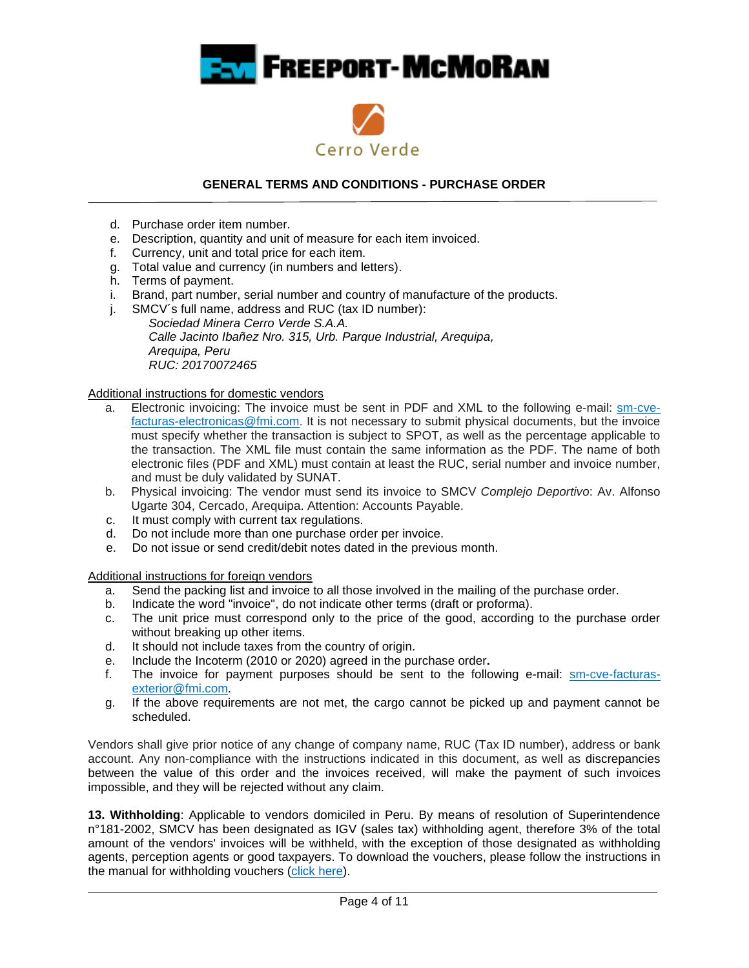



- d. Purchase order item number.
- e. Description, quantity and unit of measure for each item invoiced.
- f. Currency, unit and total price for each item.
- g. Total value and currency (in numbers and letters).
- h. Terms of payment.
- i. Brand, part number, serial number and country of manufacture of the products.
- j. SMCV´s full name, address and RUC (tax ID number):
	- *Sociedad Minera Cerro Verde S.A.A. Calle Jacinto Ibañez Nro. 315, Urb. Parque Industrial, Arequipa, Arequipa, Peru RUC: 20170072465*

#### Additional instructions for domestic vendors

- a. Electronic invoicing: The invoice must be sent in PDF and XML to the following e-mail: sm-cvefacturas-electronicas@fmi.com. It is not necessary to submit physical documents, but the invoice must specify whether the transaction is subject to SPOT, as well as the percentage applicable to the transaction. The XML file must contain the same information as the PDF. The name of both electronic files (PDF and XML) must contain at least the RUC, serial number and invoice number, and must be duly validated by SUNAT.
- b. Physical invoicing: The vendor must send its invoice to SMCV *Complejo Deportivo*: Av. Alfonso Ugarte 304, Cercado, Arequipa. Attention: Accounts Payable.
- c. It must comply with current tax regulations.
- d. Do not include more than one purchase order per invoice.
- e. Do not issue or send credit/debit notes dated in the previous month.

Additional instructions for foreign vendors

- a. Send the packing list and invoice to all those involved in the mailing of the purchase order.
- b. Indicate the word "invoice", do not indicate other terms (draft or proforma).
- c. The unit price must correspond only to the price of the good, according to the purchase order without breaking up other items.
- d. It should not include taxes from the country of origin.
- e. Include the Incoterm (2010 or 2020) agreed in the purchase order**.**
- f. The invoice for payment purposes should be sent to the following e-mail: [sm-cve-facturas](mailto:SM-CVE-facturas-exterior@fmi.com)[exterior@fmi.com.](mailto:SM-CVE-facturas-exterior@fmi.com)
- g. If the above requirements are not met, the cargo cannot be picked up and payment cannot be scheduled.

Vendors shall give prior notice of any change of company name, RUC (Tax ID number), address or bank account. Any non-compliance with the instructions indicated in this document, as well as discrepancies between the value of this order and the invoices received, will make the payment of such invoices impossible, and they will be rejected without any claim.

**13. Withholding**: Applicable to vendors domiciled in Peru. By means of resolution of Superintendence n°181-2002, SMCV has been designated as IGV (sales tax) withholding agent, therefore 3% of the total amount of the vendors' invoices will be withheld, with the exception of those designated as withholding agents, perception agents or good taxpayers. To download the vouchers, please follow the instructions in the manual for withholding vouchers (click [here\)](https://publicportal.fmi.com/sites/publicportal/files/Files/cerro_verde_files/gsc/compras/Manual%20Comprobantes%20de%20Retención%20-%20V1.0%20Oct19.pdf).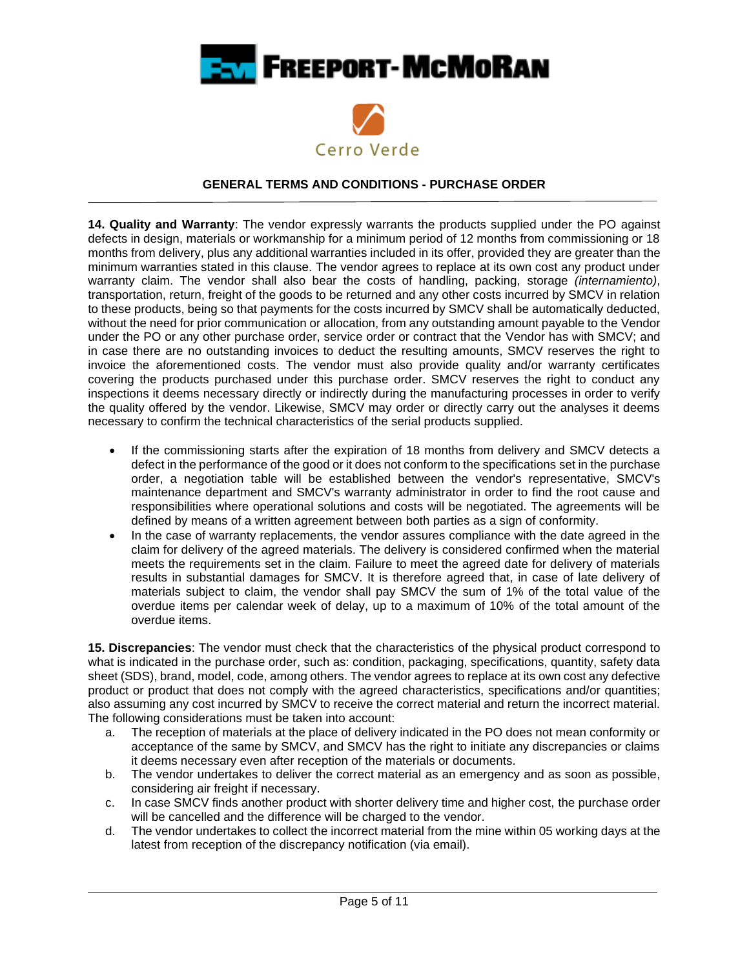



**14. Quality and Warranty**: The vendor expressly warrants the products supplied under the PO against defects in design, materials or workmanship for a minimum period of 12 months from commissioning or 18 months from delivery, plus any additional warranties included in its offer, provided they are greater than the minimum warranties stated in this clause. The vendor agrees to replace at its own cost any product under warranty claim. The vendor shall also bear the costs of handling, packing, storage *(internamiento)*, transportation, return, freight of the goods to be returned and any other costs incurred by SMCV in relation to these products, being so that payments for the costs incurred by SMCV shall be automatically deducted, without the need for prior communication or allocation, from any outstanding amount payable to the Vendor under the PO or any other purchase order, service order or contract that the Vendor has with SMCV; and in case there are no outstanding invoices to deduct the resulting amounts, SMCV reserves the right to invoice the aforementioned costs. The vendor must also provide quality and/or warranty certificates covering the products purchased under this purchase order. SMCV reserves the right to conduct any inspections it deems necessary directly or indirectly during the manufacturing processes in order to verify the quality offered by the vendor. Likewise, SMCV may order or directly carry out the analyses it deems necessary to confirm the technical characteristics of the serial products supplied.

- If the commissioning starts after the expiration of 18 months from delivery and SMCV detects a defect in the performance of the good or it does not conform to the specifications set in the purchase order, a negotiation table will be established between the vendor's representative, SMCV's maintenance department and SMCV's warranty administrator in order to find the root cause and responsibilities where operational solutions and costs will be negotiated. The agreements will be defined by means of a written agreement between both parties as a sign of conformity.
- In the case of warranty replacements, the vendor assures compliance with the date agreed in the claim for delivery of the agreed materials. The delivery is considered confirmed when the material meets the requirements set in the claim. Failure to meet the agreed date for delivery of materials results in substantial damages for SMCV. It is therefore agreed that, in case of late delivery of materials subject to claim, the vendor shall pay SMCV the sum of 1% of the total value of the overdue items per calendar week of delay, up to a maximum of 10% of the total amount of the overdue items.

**15. Discrepancies**: The vendor must check that the characteristics of the physical product correspond to what is indicated in the purchase order, such as: condition, packaging, specifications, quantity, safety data sheet (SDS), brand, model, code, among others. The vendor agrees to replace at its own cost any defective product or product that does not comply with the agreed characteristics, specifications and/or quantities; also assuming any cost incurred by SMCV to receive the correct material and return the incorrect material. The following considerations must be taken into account:

- a. The reception of materials at the place of delivery indicated in the PO does not mean conformity or acceptance of the same by SMCV, and SMCV has the right to initiate any discrepancies or claims it deems necessary even after reception of the materials or documents.
- b. The vendor undertakes to deliver the correct material as an emergency and as soon as possible, considering air freight if necessary.
- c. In case SMCV finds another product with shorter delivery time and higher cost, the purchase order will be cancelled and the difference will be charged to the vendor.
- d. The vendor undertakes to collect the incorrect material from the mine within 05 working days at the latest from reception of the discrepancy notification (via email).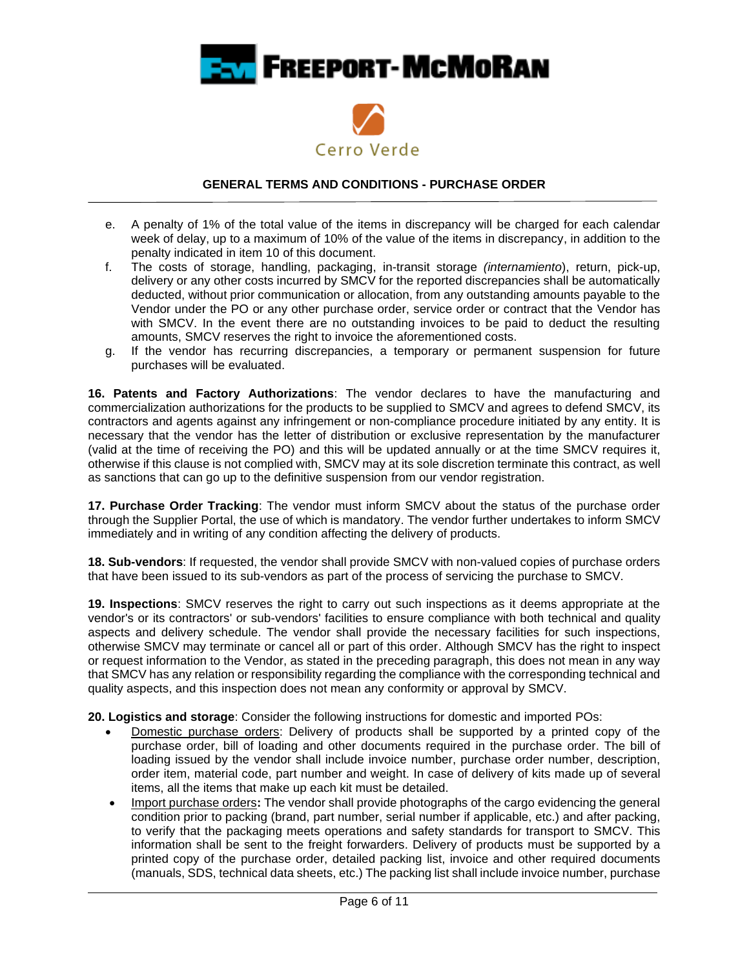



- e. A penalty of 1% of the total value of the items in discrepancy will be charged for each calendar week of delay, up to a maximum of 10% of the value of the items in discrepancy, in addition to the penalty indicated in item 10 of this document.
- f. The costs of storage, handling, packaging, in-transit storage *(internamiento*), return, pick-up, delivery or any other costs incurred by SMCV for the reported discrepancies shall be automatically deducted, without prior communication or allocation, from any outstanding amounts payable to the Vendor under the PO or any other purchase order, service order or contract that the Vendor has with SMCV. In the event there are no outstanding invoices to be paid to deduct the resulting amounts, SMCV reserves the right to invoice the aforementioned costs.
- g. If the vendor has recurring discrepancies, a temporary or permanent suspension for future purchases will be evaluated.

**16. Patents and Factory Authorizations**: The vendor declares to have the manufacturing and commercialization authorizations for the products to be supplied to SMCV and agrees to defend SMCV, its contractors and agents against any infringement or non-compliance procedure initiated by any entity. It is necessary that the vendor has the letter of distribution or exclusive representation by the manufacturer (valid at the time of receiving the PO) and this will be updated annually or at the time SMCV requires it, otherwise if this clause is not complied with, SMCV may at its sole discretion terminate this contract, as well as sanctions that can go up to the definitive suspension from our vendor registration.

**17. Purchase Order Tracking**: The vendor must inform SMCV about the status of the purchase order through the Supplier Portal, the use of which is mandatory. The vendor further undertakes to inform SMCV immediately and in writing of any condition affecting the delivery of products.

**18. Sub-vendors**: If requested, the vendor shall provide SMCV with non-valued copies of purchase orders that have been issued to its sub-vendors as part of the process of servicing the purchase to SMCV.

**19. Inspections**: SMCV reserves the right to carry out such inspections as it deems appropriate at the vendor's or its contractors' or sub-vendors' facilities to ensure compliance with both technical and quality aspects and delivery schedule. The vendor shall provide the necessary facilities for such inspections, otherwise SMCV may terminate or cancel all or part of this order. Although SMCV has the right to inspect or request information to the Vendor, as stated in the preceding paragraph, this does not mean in any way that SMCV has any relation or responsibility regarding the compliance with the corresponding technical and quality aspects, and this inspection does not mean any conformity or approval by SMCV.

**20. Logistics and storage**: Consider the following instructions for domestic and imported POs:

- Domestic purchase orders: Delivery of products shall be supported by a printed copy of the purchase order, bill of loading and other documents required in the purchase order. The bill of loading issued by the vendor shall include invoice number, purchase order number, description, order item, material code, part number and weight. In case of delivery of kits made up of several items, all the items that make up each kit must be detailed.
- Import purchase orders**:** The vendor shall provide photographs of the cargo evidencing the general condition prior to packing (brand, part number, serial number if applicable, etc.) and after packing, to verify that the packaging meets operations and safety standards for transport to SMCV. This information shall be sent to the freight forwarders. Delivery of products must be supported by a printed copy of the purchase order, detailed packing list, invoice and other required documents (manuals, SDS, technical data sheets, etc.) The packing list shall include invoice number, purchase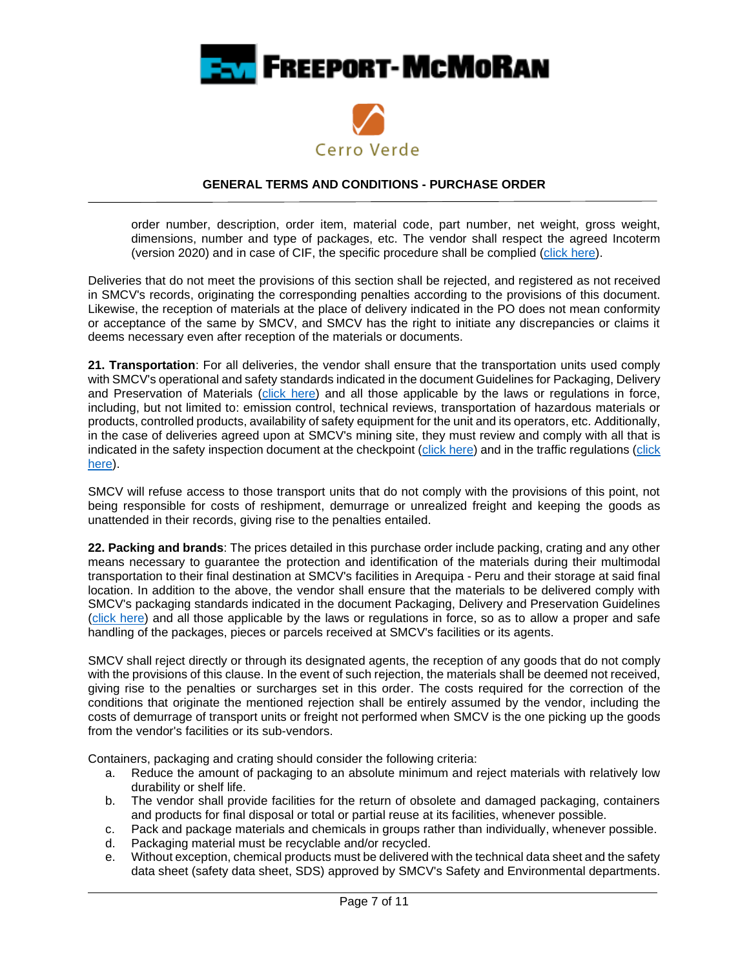



order number, description, order item, material code, part number, net weight, gross weight, dimensions, number and type of packages, etc. The vendor shall respect the agreed Incoterm (version 2020) and in case of CIF, the specific procedure shall be complied (click [here\)](https://publicportal.fmi.com/sites/publicportal/files/Files/cerro_verde_files/gsc/compras/Lineamientos%20para%20OC%20en%20T%C3%A9rminos%20CIF%20-%20Ingl%C3%A9s%20V1.0%20Jul20.pdf).

Deliveries that do not meet the provisions of this section shall be rejected, and registered as not received in SMCV's records, originating the corresponding penalties according to the provisions of this document. Likewise, the reception of materials at the place of delivery indicated in the PO does not mean conformity or acceptance of the same by SMCV, and SMCV has the right to initiate any discrepancies or claims it deems necessary even after reception of the materials or documents.

**21. Transportation**: For all deliveries, the vendor shall ensure that the transportation units used comply with SMCV's operational and safety standards indicated in the document Guidelines for Packaging, Delivery and Preservation of Materials (click [here\)](https://publicportal.fmi.com/sites/publicportal/files/Files/cerro_verde_files/gsc/compras/GAot0001%20Lineamientos%20de%20Embalaje%2C%20Entrega%20y%20Preservación%20de%20materiales%20V02%20Ago20.pdf) and all those applicable by the laws or regulations in force, including, but not limited to: emission control, technical reviews, transportation of hazardous materials or products, controlled products, availability of safety equipment for the unit and its operators, etc. Additionally, in the case of deliveries agreed upon at SMCV's mining site, they must review and comply with all that is indicated in the safety inspection document at the checkpoint (click [here\)](https://publicportal.fmi.com/sites/publicportal/files/Files/cerro_verde_files/seguridad/otros/12%20Inspección-seguridad-garitas-smcv.PDF) and in the traffic regulations [\(click](https://publicportal.fmi.com/sites/publicportal/files/Files/cerro_verde_files/seguridad/otros/SSOre0004_Reglamento%20General%20de%20Tránsito%20SMCV_v05.pdf) [here\)](https://publicportal.fmi.com/sites/publicportal/files/Files/cerro_verde_files/seguridad/otros/SSOre0004_Reglamento%20General%20de%20Tránsito%20SMCV_v05.pdf).

SMCV will refuse access to those transport units that do not comply with the provisions of this point, not being responsible for costs of reshipment, demurrage or unrealized freight and keeping the goods as unattended in their records, giving rise to the penalties entailed.

**22. Packing and brands**: The prices detailed in this purchase order include packing, crating and any other means necessary to guarantee the protection and identification of the materials during their multimodal transportation to their final destination at SMCV's facilities in Arequipa - Peru and their storage at said final location. In addition to the above, the vendor shall ensure that the materials to be delivered comply with SMCV's packaging standards indicated in the document Packaging, Delivery and Preservation Guidelines (click [here\)](https://publicportal.fmi.com/sites/publicportal/files/Files/cerro_verde_files/gsc/compras/GAot0001%20Lineamientos%20de%20Embalaje%2C%20Entrega%20y%20Preservación%20de%20materiales%20V02%20Ago20.pdf) and all those applicable by the laws or regulations in force, so as to allow a proper and safe handling of the packages, pieces or parcels received at SMCV's facilities or its agents.

SMCV shall reject directly or through its designated agents, the reception of any goods that do not comply with the provisions of this clause. In the event of such rejection, the materials shall be deemed not received, giving rise to the penalties or surcharges set in this order. The costs required for the correction of the conditions that originate the mentioned rejection shall be entirely assumed by the vendor, including the costs of demurrage of transport units or freight not performed when SMCV is the one picking up the goods from the vendor's facilities or its sub-vendors.

Containers, packaging and crating should consider the following criteria:

- a. Reduce the amount of packaging to an absolute minimum and reject materials with relatively low durability or shelf life.
- b. The vendor shall provide facilities for the return of obsolete and damaged packaging, containers and products for final disposal or total or partial reuse at its facilities, whenever possible.
- c. Pack and package materials and chemicals in groups rather than individually, whenever possible.
- d. Packaging material must be recyclable and/or recycled.
- e. Without exception, chemical products must be delivered with the technical data sheet and the safety data sheet (safety data sheet, SDS) approved by SMCV's Safety and Environmental departments.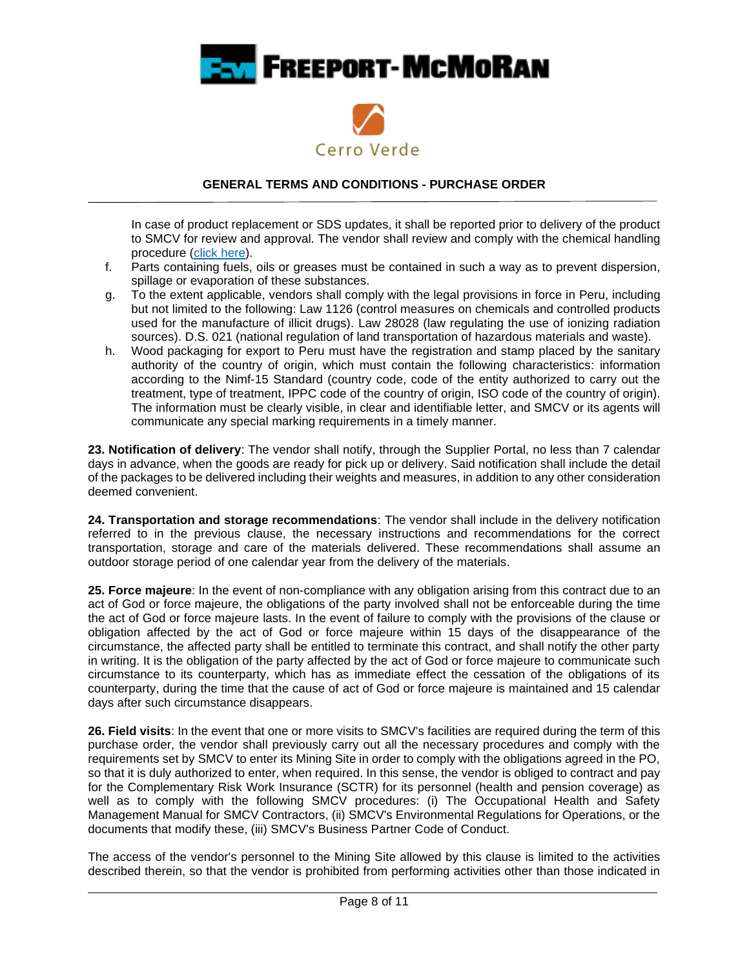



In case of product replacement or SDS updates, it shall be reported prior to delivery of the product to SMCV for review and approval. The vendor shall review and comply with the chemical handling procedure (click [here\)](https://publicportal.fmi.com/sites/publicportal/files/Files/cerro_verde_files/seguridad/estandares/SGIst0022_Manejo%20de%20Productos%20Quimicos_v07.pdf).

- f. Parts containing fuels, oils or greases must be contained in such a way as to prevent dispersion, spillage or evaporation of these substances.
- g. To the extent applicable, vendors shall comply with the legal provisions in force in Peru, including but not limited to the following: Law 1126 (control measures on chemicals and controlled products used for the manufacture of illicit drugs). Law 28028 (law regulating the use of ionizing radiation sources). D.S. 021 (national regulation of land transportation of hazardous materials and waste).
- h. Wood packaging for export to Peru must have the registration and stamp placed by the sanitary authority of the country of origin, which must contain the following characteristics: information according to the Nimf-15 Standard (country code, code of the entity authorized to carry out the treatment, type of treatment, IPPC code of the country of origin, ISO code of the country of origin). The information must be clearly visible, in clear and identifiable letter, and SMCV or its agents will communicate any special marking requirements in a timely manner.

**23. Notification of delivery**: The vendor shall notify, through the Supplier Portal, no less than 7 calendar days in advance, when the goods are ready for pick up or delivery. Said notification shall include the detail of the packages to be delivered including their weights and measures, in addition to any other consideration deemed convenient.

**24. Transportation and storage recommendations**: The vendor shall include in the delivery notification referred to in the previous clause, the necessary instructions and recommendations for the correct transportation, storage and care of the materials delivered. These recommendations shall assume an outdoor storage period of one calendar year from the delivery of the materials.

**25. Force majeure**: In the event of non-compliance with any obligation arising from this contract due to an act of God or force majeure, the obligations of the party involved shall not be enforceable during the time the act of God or force majeure lasts. In the event of failure to comply with the provisions of the clause or obligation affected by the act of God or force majeure within 15 days of the disappearance of the circumstance, the affected party shall be entitled to terminate this contract, and shall notify the other party in writing. It is the obligation of the party affected by the act of God or force majeure to communicate such circumstance to its counterparty, which has as immediate effect the cessation of the obligations of its counterparty, during the time that the cause of act of God or force majeure is maintained and 15 calendar days after such circumstance disappears.

**26. Field visits**: In the event that one or more visits to SMCV's facilities are required during the term of this purchase order, the vendor shall previously carry out all the necessary procedures and comply with the requirements set by SMCV to enter its Mining Site in order to comply with the obligations agreed in the PO, so that it is duly authorized to enter, when required. In this sense, the vendor is obliged to contract and pay for the Complementary Risk Work Insurance (SCTR) for its personnel (health and pension coverage) as well as to comply with the following SMCV procedures: (i) The Occupational Health and Safety Management Manual for SMCV Contractors, (ii) SMCV's Environmental Regulations for Operations, or the documents that modify these, (iii) SMCV's Business Partner Code of Conduct.

The access of the vendor's personnel to the Mining Site allowed by this clause is limited to the activities described therein, so that the vendor is prohibited from performing activities other than those indicated in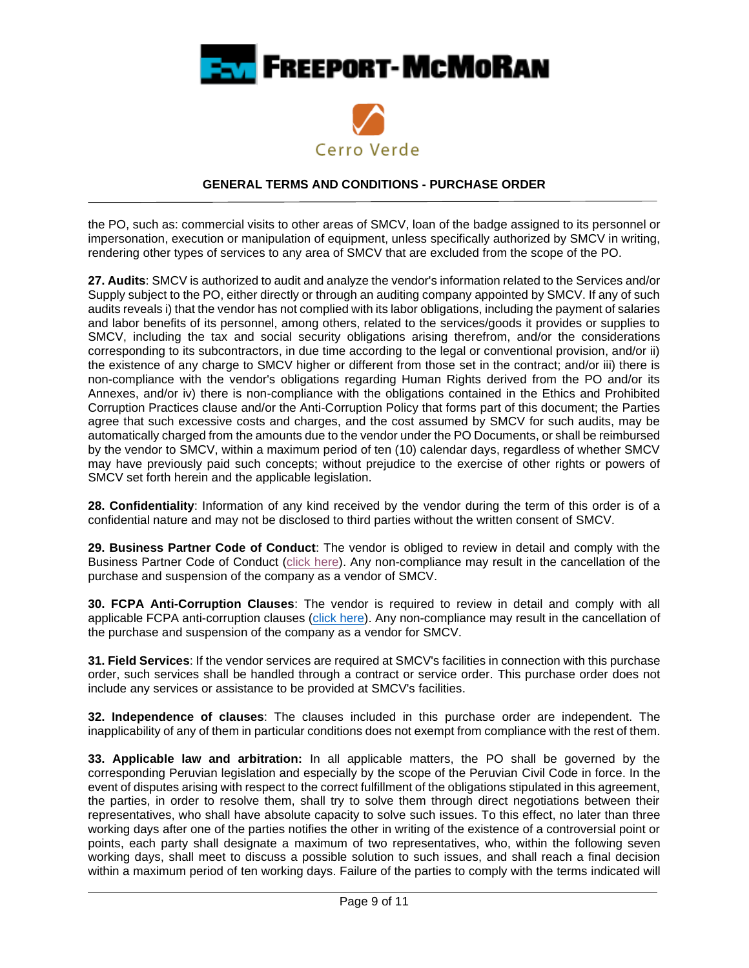



the PO, such as: commercial visits to other areas of SMCV, loan of the badge assigned to its personnel or impersonation, execution or manipulation of equipment, unless specifically authorized by SMCV in writing, rendering other types of services to any area of SMCV that are excluded from the scope of the PO.

**27. Audits**: SMCV is authorized to audit and analyze the vendor's information related to the Services and/or Supply subject to the PO, either directly or through an auditing company appointed by SMCV. If any of such audits reveals i) that the vendor has not complied with its labor obligations, including the payment of salaries and labor benefits of its personnel, among others, related to the services/goods it provides or supplies to SMCV, including the tax and social security obligations arising therefrom, and/or the considerations corresponding to its subcontractors, in due time according to the legal or conventional provision, and/or ii) the existence of any charge to SMCV higher or different from those set in the contract; and/or iii) there is non-compliance with the vendor's obligations regarding Human Rights derived from the PO and/or its Annexes, and/or iv) there is non-compliance with the obligations contained in the Ethics and Prohibited Corruption Practices clause and/or the Anti-Corruption Policy that forms part of this document; the Parties agree that such excessive costs and charges, and the cost assumed by SMCV for such audits, may be automatically charged from the amounts due to the vendor under the PO Documents, or shall be reimbursed by the vendor to SMCV, within a maximum period of ten (10) calendar days, regardless of whether SMCV may have previously paid such concepts; without prejudice to the exercise of other rights or powers of SMCV set forth herein and the applicable legislation.

**28. Confidentiality**: Information of any kind received by the vendor during the term of this order is of a confidential nature and may not be disclosed to third parties without the written consent of SMCV.

**29. Business Partner Code of Conduct**: The vendor is obliged to review in detail and comply with the Business Partner Code of Conduct (click [here\)](https://www.fcx.com/sites/fcx/files/documents/policies/bpcc_eng.pdf). Any non-compliance may result in the cancellation of the purchase and suspension of the company as a vendor of SMCV.

**30. FCPA Anti-Corruption Clauses**: The vendor is required to review in detail and comply with all applicable FCPA anti-corruption clauses (click [here\)](https://publicportal.fmi.com/cerro_verde). Any non-compliance may result in the cancellation of the purchase and suspension of the company as a vendor for SMCV.

**31. Field Services**: If the vendor services are required at SMCV's facilities in connection with this purchase order, such services shall be handled through a contract or service order. This purchase order does not include any services or assistance to be provided at SMCV's facilities.

**32. Independence of clauses**: The clauses included in this purchase order are independent. The inapplicability of any of them in particular conditions does not exempt from compliance with the rest of them.

**33. Applicable law and arbitration:** In all applicable matters, the PO shall be governed by the corresponding Peruvian legislation and especially by the scope of the Peruvian Civil Code in force. In the event of disputes arising with respect to the correct fulfillment of the obligations stipulated in this agreement, the parties, in order to resolve them, shall try to solve them through direct negotiations between their representatives, who shall have absolute capacity to solve such issues. To this effect, no later than three working days after one of the parties notifies the other in writing of the existence of a controversial point or points, each party shall designate a maximum of two representatives, who, within the following seven working days, shall meet to discuss a possible solution to such issues, and shall reach a final decision within a maximum period of ten working days. Failure of the parties to comply with the terms indicated will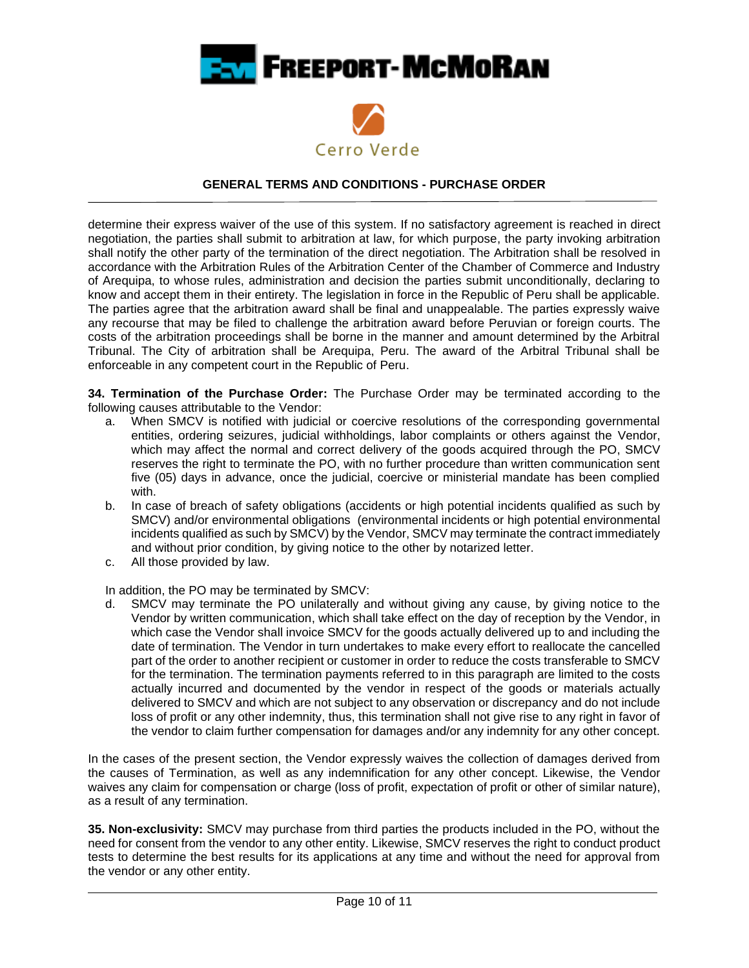



determine their express waiver of the use of this system. If no satisfactory agreement is reached in direct negotiation, the parties shall submit to arbitration at law, for which purpose, the party invoking arbitration shall notify the other party of the termination of the direct negotiation. The Arbitration shall be resolved in accordance with the Arbitration Rules of the Arbitration Center of the Chamber of Commerce and Industry of Arequipa, to whose rules, administration and decision the parties submit unconditionally, declaring to know and accept them in their entirety. The legislation in force in the Republic of Peru shall be applicable. The parties agree that the arbitration award shall be final and unappealable. The parties expressly waive any recourse that may be filed to challenge the arbitration award before Peruvian or foreign courts. The costs of the arbitration proceedings shall be borne in the manner and amount determined by the Arbitral Tribunal. The City of arbitration shall be Arequipa, Peru. The award of the Arbitral Tribunal shall be enforceable in any competent court in the Republic of Peru.

**34. Termination of the Purchase Order:** The Purchase Order may be terminated according to the following causes attributable to the Vendor:

- a. When SMCV is notified with judicial or coercive resolutions of the corresponding governmental entities, ordering seizures, judicial withholdings, labor complaints or others against the Vendor, which may affect the normal and correct delivery of the goods acquired through the PO, SMCV reserves the right to terminate the PO, with no further procedure than written communication sent five (05) days in advance, once the judicial, coercive or ministerial mandate has been complied with.
- b. In case of breach of safety obligations (accidents or high potential incidents qualified as such by SMCV) and/or environmental obligations (environmental incidents or high potential environmental incidents qualified as such by SMCV) by the Vendor, SMCV may terminate the contract immediately and without prior condition, by giving notice to the other by notarized letter.
- c. All those provided by law.

In addition, the PO may be terminated by SMCV:

d. SMCV may terminate the PO unilaterally and without giving any cause, by giving notice to the Vendor by written communication, which shall take effect on the day of reception by the Vendor, in which case the Vendor shall invoice SMCV for the goods actually delivered up to and including the date of termination. The Vendor in turn undertakes to make every effort to reallocate the cancelled part of the order to another recipient or customer in order to reduce the costs transferable to SMCV for the termination. The termination payments referred to in this paragraph are limited to the costs actually incurred and documented by the vendor in respect of the goods or materials actually delivered to SMCV and which are not subject to any observation or discrepancy and do not include loss of profit or any other indemnity, thus, this termination shall not give rise to any right in favor of the vendor to claim further compensation for damages and/or any indemnity for any other concept.

In the cases of the present section, the Vendor expressly waives the collection of damages derived from the causes of Termination, as well as any indemnification for any other concept. Likewise, the Vendor waives any claim for compensation or charge (loss of profit, expectation of profit or other of similar nature), as a result of any termination.

**35. Non-exclusivity:** SMCV may purchase from third parties the products included in the PO, without the need for consent from the vendor to any other entity. Likewise, SMCV reserves the right to conduct product tests to determine the best results for its applications at any time and without the need for approval from the vendor or any other entity.